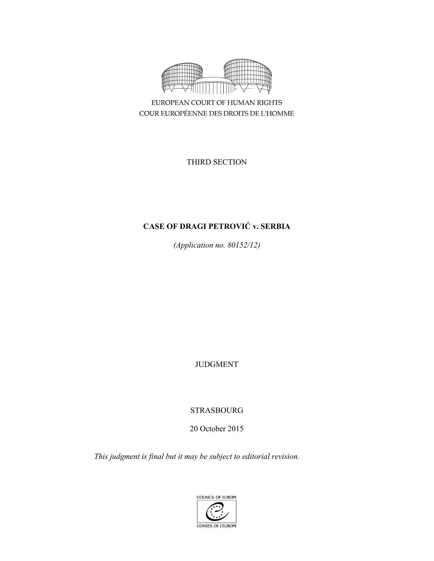

EUROPEAN COURT OF HUMAN RIGHTS COUR EUROPÉENNE DES DROITS DE L'HOMME

THIRD SECTION

# **CASE OF DRAGI PETROVIĆ v. SERBIA**

*(Application no. 80152/12)* 

JUDGMENT

STRASBOURG

20 October 2015

*This judgment is final but it may be subject to editorial revision.* 

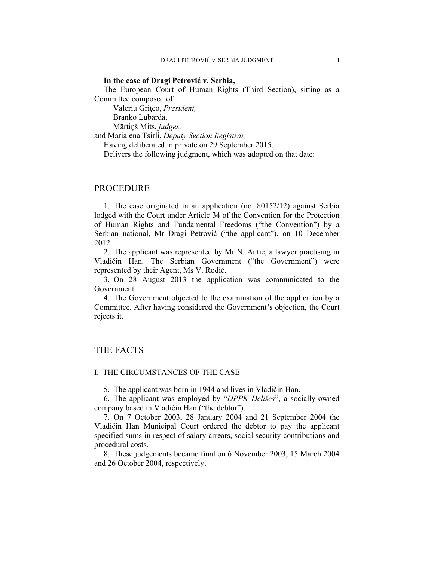#### **In the case of Dragi Petrović v. Serbia,**

The European Court of Human Rights (Third Section), sitting as a Committee composed of:

Valeriu Gritco, President, Branko Lubarda, Mārtiņš Mits, *judges,*

and Marialena Tsirli, *Deputy Section Registrar,*

Having deliberated in private on 29 September 2015,

Delivers the following judgment, which was adopted on that date:

## PROCEDURE

1. The case originated in an application (no. 80152/12) against Serbia lodged with the Court under Article 34 of the Convention for the Protection of Human Rights and Fundamental Freedoms ("the Convention") by a Serbian national, Mr Dragi Petrović ("the applicant"), on 10 December 2012.

2. The applicant was represented by Mr N. Antić, a lawyer practising in Vladičin Han. The Serbian Government ("the Government") were represented by their Agent, Ms V. Rodić.

3. On 28 August 2013 the application was communicated to the Government.

4. The Government objected to the examination of the application by a Committee. After having considered the Government's objection, the Court rejects it.

## THE FACTS

#### I. THE CIRCUMSTANCES OF THE CASE

5. The applicant was born in 1944 and lives in Vladičin Han.

6. The applicant was employed by "*DPPK Delišes*", a socially-owned company based in Vladičin Han ("the debtor").

7. On 7 October 2003, 28 January 2004 and 21 September 2004 the Vladičin Han Municipal Court ordered the debtor to pay the applicant specified sums in respect of salary arrears, social security contributions and procedural costs.

8. These judgements became final on 6 November 2003, 15 March 2004 and 26 October 2004, respectively.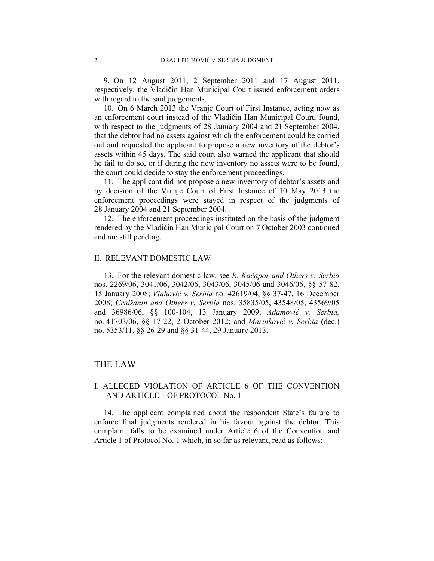9. On 12 August 2011, 2 September 2011 and 17 August 2011, respectively, the Vladičin Han Municipal Court issued enforcement orders with regard to the said judgements.

10. On 6 March 2013 the Vranje Court of First Instance, acting now as an enforcement court instead of the Vladičin Han Municipal Court, found, with respect to the judgments of 28 January 2004 and 21 September 2004, that the debtor had no assets against which the enforcement could be carried out and requested the applicant to propose a new inventory of the debtor's assets within 45 days. The said court also warned the applicant that should he fail to do so, or if during the new inventory no assets were to be found, the court could decide to stay the enforcement proceedings.

11. The applicant did not propose a new inventory of debtor's assets and by decision of the Vranje Court of First Instance of 10 May 2013 the enforcement proceedings were stayed in respect of the judgments of 28 January 2004 and 21 September 2004.

12. The enforcement proceedings instituted on the basis of the judgment rendered by the Vladičin Han Municipal Court on 7 October 2003 continued and are still pending.

#### II. RELEVANT DOMESTIC LAW

13. For the relevant domestic law, see *R. Kačapor and Others v. Serbia*  nos. 2269/06, 3041/06, 3042/06, 3043/06, 3045/06 and 3046/06, §§ 57-82, 15 January 2008; *Vlahović v. Serbia* no. 42619/04, §§ 37-47, 16 December 2008; *Crnišanin and Others v. Serbia* nos. 35835/05, 43548/05, 43569/05 and 36986/06, §§ 100-104, 13 January 2009; *Adamović v. Serbia,* no. 41703/06, §§ 17-22, 2 October 2012; and *Marinković v. Serbia* (dec.) no. 5353/11, §§ 26-29 and §§ 31-44, 29 January 2013.

### THE LAW

## I. ALLEGED VIOLATION OF ARTICLE 6 OF THE CONVENTION AND ARTICLE 1 OF PROTOCOL No. 1

14. The applicant complained about the respondent State's failure to enforce final judgments rendered in his favour against the debtor. This complaint falls to be examined under Article 6 of the Convention and Article 1 of Protocol No. 1 which, in so far as relevant, read as follows: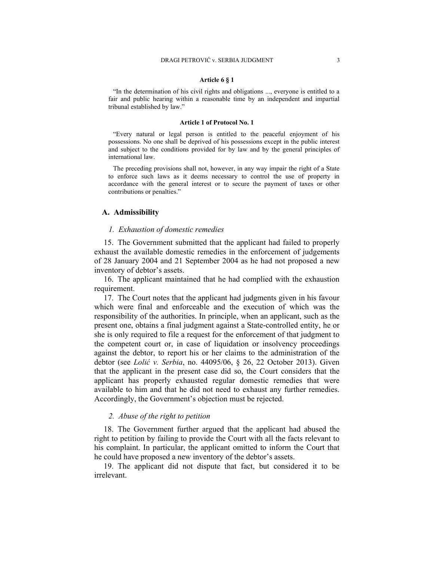#### **Article 6 § 1**

"In the determination of his civil rights and obligations ..., everyone is entitled to a fair and public hearing within a reasonable time by an independent and impartial tribunal established by law."

#### **Article 1 of Protocol No. 1**

"Every natural or legal person is entitled to the peaceful enjoyment of his possessions. No one shall be deprived of his possessions except in the public interest and subject to the conditions provided for by law and by the general principles of international law.

The preceding provisions shall not, however, in any way impair the right of a State to enforce such laws as it deems necessary to control the use of property in accordance with the general interest or to secure the payment of taxes or other contributions or penalties."

#### **A. Admissibility**

#### *1. Exhaustion of domestic remedies*

15. The Government submitted that the applicant had failed to properly exhaust the available domestic remedies in the enforcement of judgements of 28 January 2004 and 21 September 2004 as he had not proposed a new inventory of debtor's assets.

16. The applicant maintained that he had complied with the exhaustion requirement.

17. The Court notes that the applicant had judgments given in his favour which were final and enforceable and the execution of which was the responsibility of the authorities. In principle, when an applicant, such as the present one, obtains a final judgment against a State-controlled entity, he or she is only required to file a request for the enforcement of that judgment to the competent court or, in case of liquidation or insolvency proceedings against the debtor, to report his or her claims to the administration of the debtor (see *Lolić v. Serbia*, no. 44095/06, § 26, 22 October 2013). Given that the applicant in the present case did so, the Court considers that the applicant has properly exhausted regular domestic remedies that were available to him and that he did not need to exhaust any further remedies. Accordingly, the Government's objection must be rejected.

#### *2. Abuse of the right to petition*

18. The Government further argued that the applicant had abused the right to petition by failing to provide the Court with all the facts relevant to his complaint. In particular, the applicant omitted to inform the Court that he could have proposed a new inventory of the debtor's assets.

19. The applicant did not dispute that fact, but considered it to be irrelevant.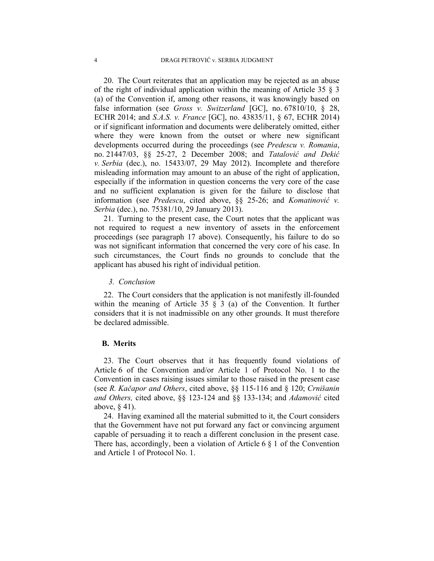20. The Court reiterates that an application may be rejected as an abuse of the right of individual application within the meaning of Article 35 § 3 (a) of the Convention if, among other reasons, it was knowingly based on false information (see *Gross v. Switzerland* [GC], no. 67810/10, § 28, ECHR 2014; and *S.A.S. v. France* [GC], no. 43835/11, § 67, ECHR 2014) or if significant information and documents were deliberately omitted, either where they were known from the outset or where new significant developments occurred during the proceedings (see *Predescu v. Romania*, no. 21447/03, §§ 25-27, 2 December 2008; and *Tatalović and Dekić v. Serbia* (dec.), no. 15433/07, 29 May 2012). Incomplete and therefore misleading information may amount to an abuse of the right of application, especially if the information in question concerns the very core of the case and no sufficient explanation is given for the failure to disclose that information (see *Predescu*, cited above, §§ 25-26; and *Komatinović v. Serbia* (dec.), no. 75381/10, 29 January 2013).

21. Turning to the present case, the Court notes that the applicant was not required to request a new inventory of assets in the enforcement proceedings (see paragraph 17 above). Consequently, his failure to do so was not significant information that concerned the very core of his case. In such circumstances, the Court finds no grounds to conclude that the applicant has abused his right of individual petition.

#### *3. Conclusion*

22. The Court considers that the application is not manifestly ill-founded within the meaning of Article 35  $\S$  3 (a) of the Convention. It further considers that it is not inadmissible on any other grounds. It must therefore be declared admissible.

#### **B. Merits**

23. The Court observes that it has frequently found violations of Article 6 of the Convention and/or Article 1 of Protocol No. 1 to the Convention in cases raising issues similar to those raised in the present case (see *R. Kačapor and Others*, cited above, §§ 115-116 and § 120; *Crnišanin and Others,* cited above, §§ 123-124 and §§ 133-134; and *Adamović* cited above, § 41).

24. Having examined all the material submitted to it, the Court considers that the Government have not put forward any fact or convincing argument capable of persuading it to reach a different conclusion in the present case. There has, accordingly, been a violation of Article 6 § 1 of the Convention and Article 1 of Protocol No. 1.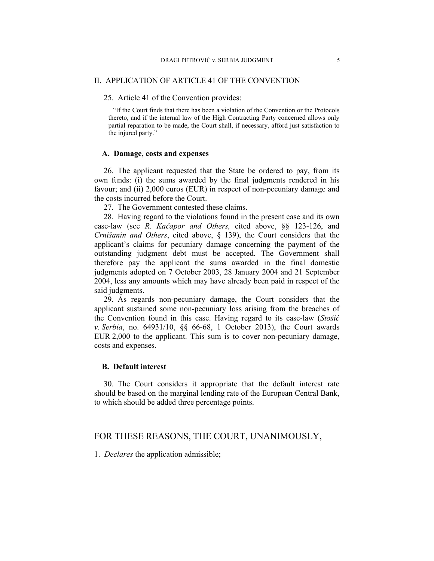#### II. APPLICATION OF ARTICLE 41 OF THE CONVENTION

25. Article 41 of the Convention provides:

"If the Court finds that there has been a violation of the Convention or the Protocols thereto, and if the internal law of the High Contracting Party concerned allows only partial reparation to be made, the Court shall, if necessary, afford just satisfaction to the injured party."

#### **A. Damage, costs and expenses**

26. The applicant requested that the State be ordered to pay, from its own funds: (i) the sums awarded by the final judgments rendered in his favour; and (ii) 2,000 euros (EUR) in respect of non-pecuniary damage and the costs incurred before the Court.

27. The Government contested these claims.

28. Having regard to the violations found in the present case and its own case-law (see *R. Kačapor and Others,* cited above, §§ 123-126, and *Crnišanin and Others*, cited above, § 139), the Court considers that the applicant's claims for pecuniary damage concerning the payment of the outstanding judgment debt must be accepted. The Government shall therefore pay the applicant the sums awarded in the final domestic judgments adopted on 7 October 2003, 28 January 2004 and 21 September 2004, less any amounts which may have already been paid in respect of the said judgments.

29. As regards non-pecuniary damage, the Court considers that the applicant sustained some non-pecuniary loss arising from the breaches of the Convention found in this case. Having regard to its case-law (*Stošić v. Serbia*, no. 64931/10, §§ 66-68, 1 October 2013), the Court awards EUR 2,000 to the applicant. This sum is to cover non-pecuniary damage, costs and expenses.

#### **B. Default interest**

30. The Court considers it appropriate that the default interest rate should be based on the marginal lending rate of the European Central Bank, to which should be added three percentage points.

## FOR THESE REASONS, THE COURT, UNANIMOUSLY,

1. *Declares* the application admissible;